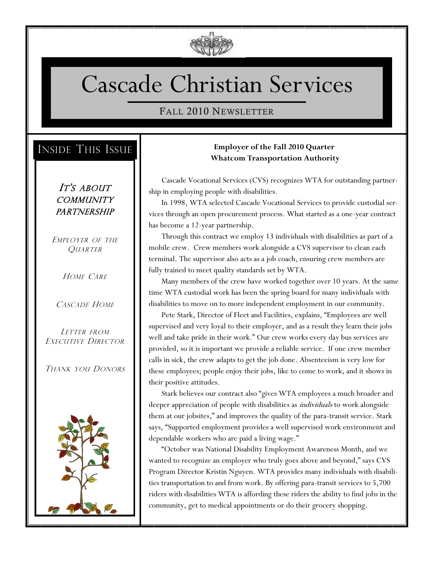

# Cascade Christian Services

#### FALL 2010 NEWSLETTER

## INSIDE THIS ISSUE

IT'S ABOUT **COMMUNITY PARTNERSHIP** 

EMPLOYER OF THE **QUARTER** 

HOME CARE

CASCADE HOME

LETTER FROM EXECUTIVE DIRECTOR

THANK YOU DONORS



#### **Employer of the Fall 2010 Quarter Whatcom Transportation Authority**

Cascade Vocational Services (CVS) recognizes WTA for outstanding partnership in employing people with disabilities.

In 1998, WTA selected Cascade Vocational Services to provide custodial services through an open procurement process. What started as a one-year contract has become a 12-year partnership.

Through this contract we employ 13 individuals with disabilities as part of a mobile crew. Crew members work alongside a CVS supervisor to clean each terminal. The supervisor also acts as a job coach, ensuring crew members are fully trained to meet quality standards set by WTA.

Many members of the crew have worked together over 10 years. At the same time WTA custodial work has been the spring board for many individuals with disabilities to move on to more independent employment in our community.

Pete Stark, Director of Fleet and Facilities, explains, "Employees are well supervised and very loyal to their employer, and as a result they learn their jobs well and take pride in their work." Our crew works every day bus services are provided, so it is important we provide a reliable service. If one crew member calls in sick, the crew adapts to get the job done. Absenteeism is very low for these employees; people enjoy their jobs, like to come to work, and it shows in their positive attitudes.

Stark believes our contract also "gives WTA employees a much broader and deeper appreciation of people with disabilities as *individuals* to work alongside them at our jobsites," and improves the quality of the para-transit service. Stark says, "Supported employment provides a well supervised work environment and dependable workers who are paid a living wage."

"October was National Disability Employment Awareness Month, and we wanted to recognize an employer who truly goes above and beyond," says CVS Program Director Kristin Nguyen. WTA provides many individuals with disabilities transportation to and from work. By offering para-transit services to 5,700 riders with disabilities WTA is affording these riders the ability to find jobs in the community, get to medical appointments or do their grocery shopping.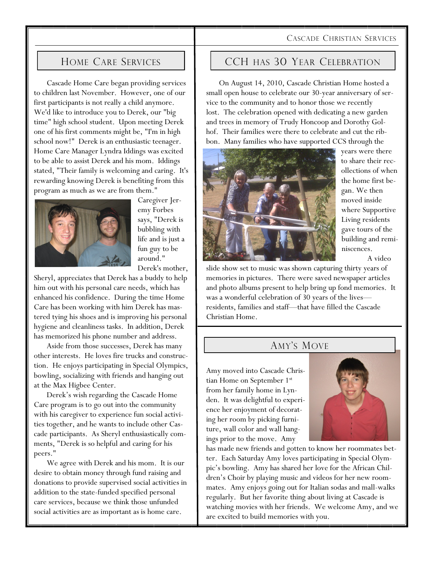#### CASCADE CHRISTIAN SERVICES

#### HOME CARE SERVICES

Cascade Home Care began providing services to children last November. However, one of our first participants is not really a child anymore. We'd like to introduce you to Derek, our "big time" high school student. Upon meeting Derek one of his first comments might be, "I'm in high school now!" Derek is an enthusiastic teenager. Home Care Manager Lyndra Iddings was excited to be able to assist Derek and his mom. Iddings stated, "Their family is welcoming and caring. It's rewarding knowing Derek is benefiting from this program as much as we are from them."



Caregiver Jeremy Forbes says, "Derek is bubbling with life and is just a fun guy to be around." Derek's mother,

Sheryl, appreciates that Derek has a buddy to help him out with his personal care needs, which has enhanced his confidence. During the time Home Care has been working with him Derek has mastered tying his shoes and is improving his personal hygiene and cleanliness tasks. In addition, Derek has memorized his phone number and address.

Aside from those successes, Derek has many other interests. He loves fire trucks and construction. He enjoys participating in Special Olympics, bowling, socializing with friends and hanging out at the Max Higbee Center.

Derek's wish regarding the Cascade Home Care program is to go out into the community with his caregiver to experience fun social activities together, and he wants to include other Cascade participants. As Sheryl enthusiastically comments, "Derek is so helpful and caring for his peers."

We agree with Derek and his mom. It is our desire to obtain money through fund raising and donations to provide supervised social activities in addition to the state-funded specified personal care services, because we think those unfunded social activities are as important as is home care.

#### CCH HAS 30 YEAR CELEBRATION

On August 14, 2010, Cascade Christian Home hosted a small open house to celebrate our 30-year anniversary of service to the community and to honor those we recently lost. The celebration opened with dedicating a new garden and trees in memory of Trudy Honcoop and Dorothy Golhof. Their families were there to celebrate and cut the ribbon. Many families who have supported CCS through the



years were there to share their recollections of when the home first began. We then moved inside where Supportive Living residents gave tours of the building and reminiscences.

A video

slide show set to music was shown capturing thirty years of memories in pictures. There were saved newspaper articles and photo albums present to help bring up fond memories. It was a wonderful celebration of 30 years of the lives residents, families and staff—that have filled the Cascade Christian Home.

#### AMY'S MOVE

Amy moved into Cascade Christian Home on September 1st from her family home in Lynden. It was delightful to experience her enjoyment of decorating her room by picking furniture, wall color and wall hangings prior to the move. Amy



has made new friends and gotten to know her roommates better. Each Saturday Amy loves participating in Special Olympic's bowling. Amy has shared her love for the African Children's Choir by playing music and videos for her new roommates. Amy enjoys going out for Italian sodas and mall-walks regularly. But her favorite thing about living at Cascade is watching movies with her friends. We welcome Amy, and we are excited to build memories with you.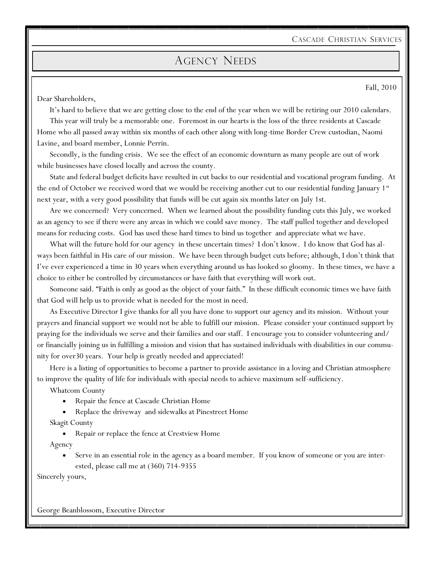CASCADE CHRISTIAN SERVICES

### AGENCY NEEDS

Dear Shareholders,

Fall, 2010

It's hard to believe that we are getting close to the end of the year when we will be retiring our 2010 calendars. This year will truly be a memorable one. Foremost in our hearts is the loss of the three residents at Cascade Home who all passed away within six months of each other along with long-time Border Crew custodian, Naomi Lavine, and board member, Lonnie Perrin.

Secondly, is the funding crisis. We see the effect of an economic downturn as many people are out of work while businesses have closed locally and across the county.

State and federal budget deficits have resulted in cut backs to our residential and vocational program funding. At the end of October we received word that we would be receiving another cut to our residential funding January 1st next year, with a very good possibility that funds will be cut again six months later on July 1st.

Are we concerned? Very concerned. When we learned about the possibility funding cuts this July, we worked as an agency to see if there were any areas in which we could save money. The staff pulled together and developed means for reducing costs. God has used these hard times to bind us together and appreciate what we have.

What will the future hold for our agency in these uncertain times? I don't know. I do know that God has always been faithful in His care of our mission. We have been through budget cuts before; although, I don't think that I've ever experienced a time in 30 years when everything around us has looked so gloomy. In these times, we have a choice to either be controlled by circumstances or have faith that everything will work out.

Someone said. "Faith is only as good as the object of your faith." In these difficult economic times we have faith that God will help us to provide what is needed for the most in need.

As Executive Director I give thanks for all you have done to support our agency and its mission. Without your prayers and financial support we would not be able to fulfill our mission. Please consider your continued support by praying for the individuals we serve and their families and our staff. I encourage you to consider volunteering and/ or financially joining us in fulfilling a mission and vision that has sustained individuals with disabilities in our community for over30 years. Your help is greatly needed and appreciated!

Here is a listing of opportunities to become a partner to provide assistance in a loving and Christian atmosphere to improve the quality of life for individuals with special needs to achieve maximum self-sufficiency.

Whatcom County

- Repair the fence at Cascade Christian Home
- Replace the driveway and sidewalks at Pinestreet Home

Skagit County

• Repair or replace the fence at Crestview Home

Agency

 Serve in an essential role in the agency as a board member. If you know of someone or you are interested, please call me at (360) 714-9355

Sincerely yours,

George Beanblossom, Executive Director